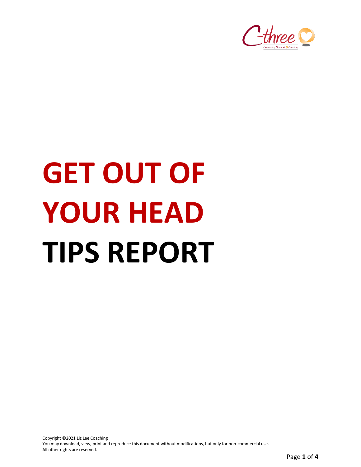

# **GET OUT OF YOUR HEAD TIPS REPORT**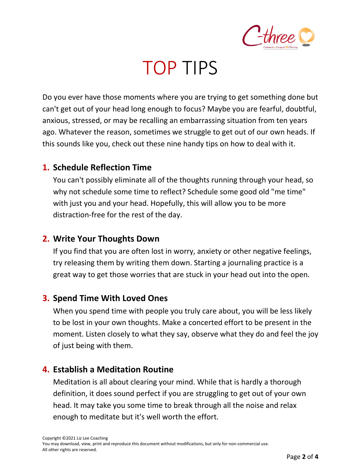

### TOP TIPS

Do you ever have those moments where you are trying to get something done but can't get out of your head long enough to focus? Maybe you are fearful, doubtful, anxious, stressed, or may be recalling an embarrassing situation from ten years ago. Whatever the reason, sometimes we struggle to get out of our own heads. If this sounds like you, check out these nine handy tips on how to deal with it.

#### **1. Schedule Reflection Time**

You can't possibly eliminate all of the thoughts running through your head, so why not schedule some time to reflect? Schedule some good old "me time" with just you and your head. Hopefully, this will allow you to be more distraction-free for the rest of the day.

#### **2. Write Your Thoughts Down**

If you find that you are often lost in worry, anxiety or other negative feelings, try releasing them by writing them down. Starting a journaling practice is a great way to get those worries that are stuck in your head out into the open.

#### **3. Spend Time With Loved Ones**

When you spend time with people you truly care about, you will be less likely to be lost in your own thoughts. Make a concerted effort to be present in the moment. Listen closely to what they say, observe what they do and feel the joy of just being with them.

#### **4. Establish a Meditation Routine**

Meditation is all about clearing your mind. While that is hardly a thorough definition, it does sound perfect if you are struggling to get out of your own head. It may take you some time to break through all the noise and relax enough to meditate but it's well worth the effort.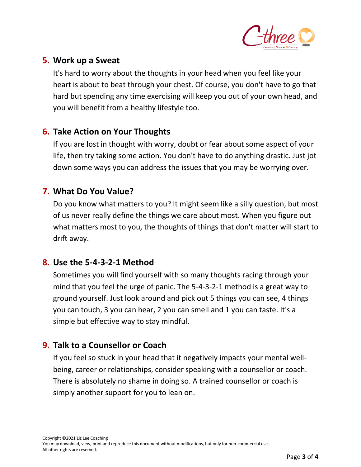

#### **5. Work up a Sweat**

It's hard to worry about the thoughts in your head when you feel like your heart is about to beat through your chest. Of course, you don't have to go that hard but spending any time exercising will keep you out of your own head, and you will benefit from a healthy lifestyle too.

#### **6. Take Action on Your Thoughts**

If you are lost in thought with worry, doubt or fear about some aspect of your life, then try taking some action. You don't have to do anything drastic. Just jot down some ways you can address the issues that you may be worrying over.

#### **7. What Do You Value?**

Do you know what matters to you? It might seem like a silly question, but most of us never really define the things we care about most. When you figure out what matters most to you, the thoughts of things that don't matter will start to drift away.

#### **8. Use the 5-4-3-2-1 Method**

Sometimes you will find yourself with so many thoughts racing through your mind that you feel the urge of panic. The 5-4-3-2-1 method is a great way to ground yourself. Just look around and pick out 5 things you can see, 4 things you can touch, 3 you can hear, 2 you can smell and 1 you can taste. It's a simple but effective way to stay mindful.

#### **9. Talk to a Counsellor or Coach**

If you feel so stuck in your head that it negatively impacts your mental wellbeing, career or relationships, consider speaking with a counsellor or coach. There is absolutely no shame in doing so. A trained counsellor or coach is simply another support for you to lean on.